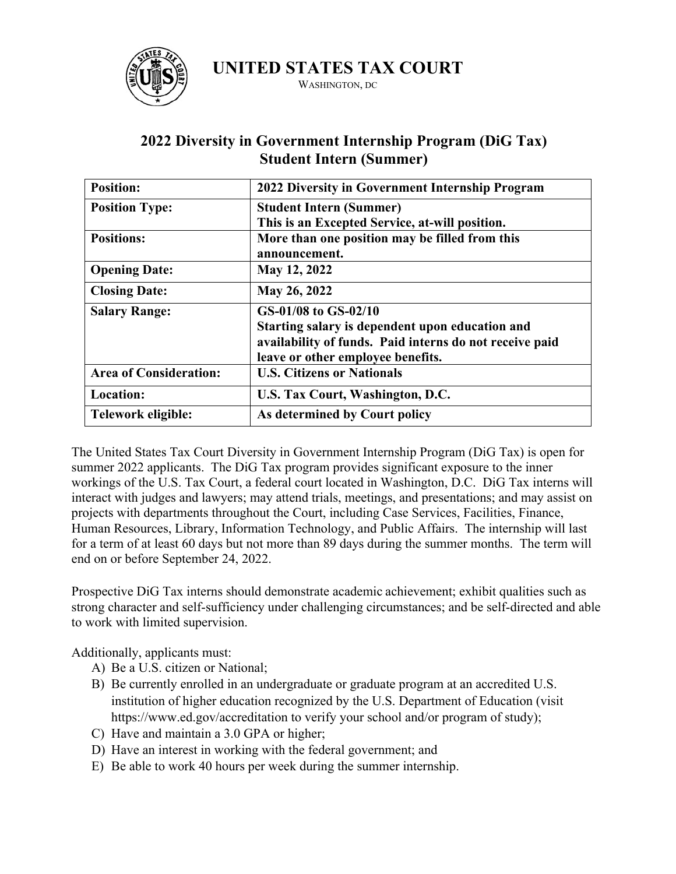

**UNITED STATES TAX COURT**

WASHINGTON, DC

| <b>Position:</b>              | 2022 Diversity in Government Internship Program         |
|-------------------------------|---------------------------------------------------------|
| <b>Position Type:</b>         | <b>Student Intern (Summer)</b>                          |
|                               | This is an Excepted Service, at-will position.          |
| <b>Positions:</b>             | More than one position may be filled from this          |
|                               | announcement.                                           |
| <b>Opening Date:</b>          | May 12, 2022                                            |
| <b>Closing Date:</b>          | May 26, 2022                                            |
| <b>Salary Range:</b>          | GS-01/08 to GS-02/10                                    |
|                               | Starting salary is dependent upon education and         |
|                               | availability of funds. Paid interns do not receive paid |
|                               | leave or other employee benefits.                       |
| <b>Area of Consideration:</b> | <b>U.S. Citizens or Nationals</b>                       |
|                               |                                                         |
| Location:                     | U.S. Tax Court, Washington, D.C.                        |

## **2022 Diversity in Government Internship Program (DiG Tax) Student Intern (Summer)**

The United States Tax Court Diversity in Government Internship Program (DiG Tax) is open for summer 2022 applicants. The DiG Tax program provides significant exposure to the inner workings of the U.S. Tax Court, a federal court located in Washington, D.C. DiG Tax interns will interact with judges and lawyers; may attend trials, meetings, and presentations; and may assist on projects with departments throughout the Court, including Case Services, Facilities, Finance, Human Resources, Library, Information Technology, and Public Affairs. The internship will last for a term of at least 60 days but not more than 89 days during the summer months. The term will end on or before September 24, 2022.

Prospective DiG Tax interns should demonstrate academic achievement; exhibit qualities such as strong character and self-sufficiency under challenging circumstances; and be self-directed and able to work with limited supervision.

Additionally, applicants must:

- A) Be a U.S. citizen or National;
- B) Be currently enrolled in an undergraduate or graduate program at an accredited U.S. institution of higher education recognized by the U.S. Department of Education (visit https://www.ed.gov/accreditation to verify your school and/or program of study);
- C) Have and maintain a 3.0 GPA or higher;
- D) Have an interest in working with the federal government; and
- E) Be able to work 40 hours per week during the summer internship.